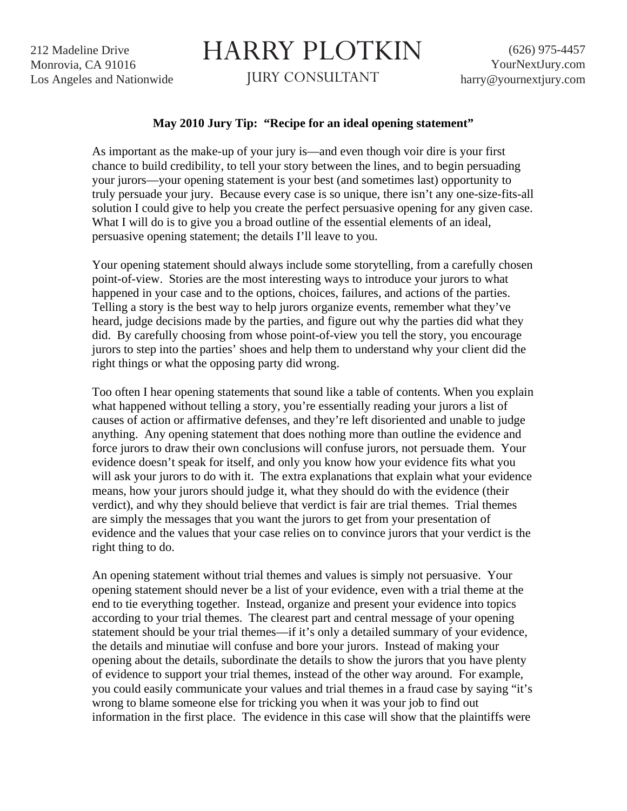212 Madeline Drive Monrovia, CA 91016 Los Angeles and Nationwide

## HARRY PLOTKIN

JURY CONSULTANT

## **May 2010 Jury Tip: "Recipe for an ideal opening statement"**

As important as the make-up of your jury is—and even though voir dire is your first chance to build credibility, to tell your story between the lines, and to begin persuading your jurors—your opening statement is your best (and sometimes last) opportunity to truly persuade your jury. Because every case is so unique, there isn't any one-size-fits-all solution I could give to help you create the perfect persuasive opening for any given case. What I will do is to give you a broad outline of the essential elements of an ideal, persuasive opening statement; the details I'll leave to you.

Your opening statement should always include some storytelling, from a carefully chosen point-of-view. Stories are the most interesting ways to introduce your jurors to what happened in your case and to the options, choices, failures, and actions of the parties. Telling a story is the best way to help jurors organize events, remember what they've heard, judge decisions made by the parties, and figure out why the parties did what they did. By carefully choosing from whose point-of-view you tell the story, you encourage jurors to step into the parties' shoes and help them to understand why your client did the right things or what the opposing party did wrong.

Too often I hear opening statements that sound like a table of contents. When you explain what happened without telling a story, you're essentially reading your jurors a list of causes of action or affirmative defenses, and they're left disoriented and unable to judge anything. Any opening statement that does nothing more than outline the evidence and force jurors to draw their own conclusions will confuse jurors, not persuade them. Your evidence doesn't speak for itself, and only you know how your evidence fits what you will ask your jurors to do with it. The extra explanations that explain what your evidence means, how your jurors should judge it, what they should do with the evidence (their verdict), and why they should believe that verdict is fair are trial themes. Trial themes are simply the messages that you want the jurors to get from your presentation of evidence and the values that your case relies on to convince jurors that your verdict is the right thing to do.

An opening statement without trial themes and values is simply not persuasive. Your opening statement should never be a list of your evidence, even with a trial theme at the end to tie everything together. Instead, organize and present your evidence into topics according to your trial themes. The clearest part and central message of your opening statement should be your trial themes—if it's only a detailed summary of your evidence, the details and minutiae will confuse and bore your jurors. Instead of making your opening about the details, subordinate the details to show the jurors that you have plenty of evidence to support your trial themes, instead of the other way around. For example, you could easily communicate your values and trial themes in a fraud case by saying "it's wrong to blame someone else for tricking you when it was your job to find out information in the first place. The evidence in this case will show that the plaintiffs were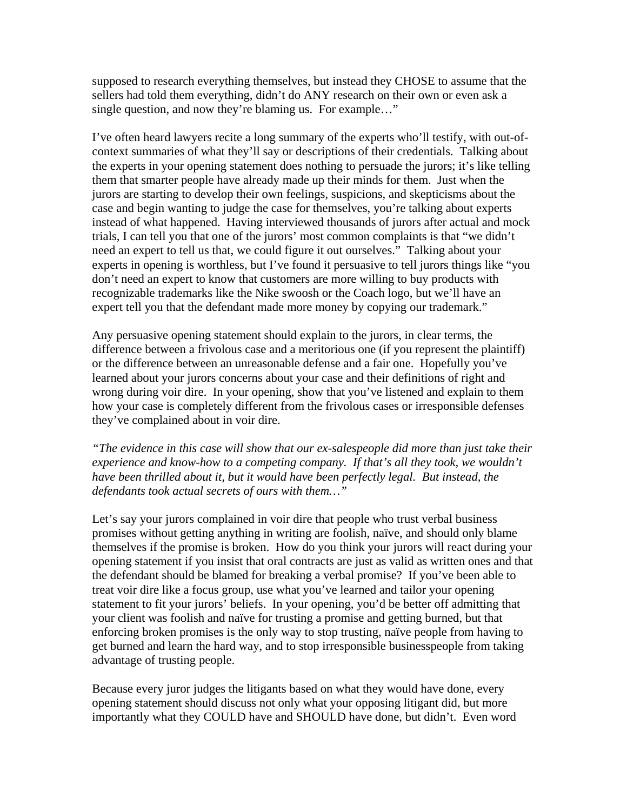supposed to research everything themselves, but instead they CHOSE to assume that the sellers had told them everything, didn't do ANY research on their own or even ask a single question, and now they're blaming us. For example…"

I've often heard lawyers recite a long summary of the experts who'll testify, with out-ofcontext summaries of what they'll say or descriptions of their credentials. Talking about the experts in your opening statement does nothing to persuade the jurors; it's like telling them that smarter people have already made up their minds for them. Just when the jurors are starting to develop their own feelings, suspicions, and skepticisms about the case and begin wanting to judge the case for themselves, you're talking about experts instead of what happened. Having interviewed thousands of jurors after actual and mock trials, I can tell you that one of the jurors' most common complaints is that "we didn't need an expert to tell us that, we could figure it out ourselves." Talking about your experts in opening is worthless, but I've found it persuasive to tell jurors things like "you don't need an expert to know that customers are more willing to buy products with recognizable trademarks like the Nike swoosh or the Coach logo, but we'll have an expert tell you that the defendant made more money by copying our trademark."

Any persuasive opening statement should explain to the jurors, in clear terms, the difference between a frivolous case and a meritorious one (if you represent the plaintiff) or the difference between an unreasonable defense and a fair one. Hopefully you've learned about your jurors concerns about your case and their definitions of right and wrong during voir dire. In your opening, show that you've listened and explain to them how your case is completely different from the frivolous cases or irresponsible defenses they've complained about in voir dire.

*"The evidence in this case will show that our ex-salespeople did more than just take their experience and know-how to a competing company. If that's all they took, we wouldn't have been thrilled about it, but it would have been perfectly legal. But instead, the defendants took actual secrets of ours with them…"* 

Let's say your jurors complained in voir dire that people who trust verbal business promises without getting anything in writing are foolish, naïve, and should only blame themselves if the promise is broken. How do you think your jurors will react during your opening statement if you insist that oral contracts are just as valid as written ones and that the defendant should be blamed for breaking a verbal promise? If you've been able to treat voir dire like a focus group, use what you've learned and tailor your opening statement to fit your jurors' beliefs. In your opening, you'd be better off admitting that your client was foolish and naïve for trusting a promise and getting burned, but that enforcing broken promises is the only way to stop trusting, naïve people from having to get burned and learn the hard way, and to stop irresponsible businesspeople from taking advantage of trusting people.

Because every juror judges the litigants based on what they would have done, every opening statement should discuss not only what your opposing litigant did, but more importantly what they COULD have and SHOULD have done, but didn't. Even word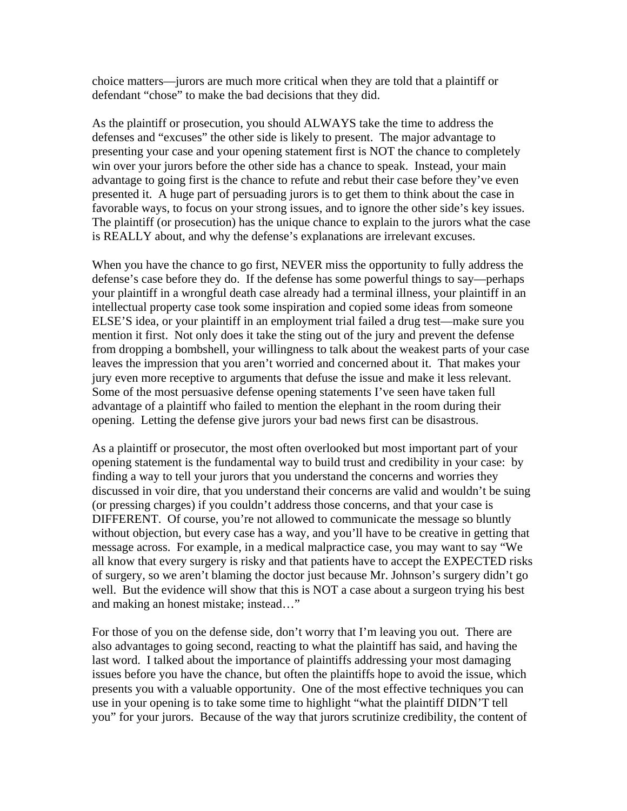choice matters—jurors are much more critical when they are told that a plaintiff or defendant "chose" to make the bad decisions that they did.

As the plaintiff or prosecution, you should ALWAYS take the time to address the defenses and "excuses" the other side is likely to present. The major advantage to presenting your case and your opening statement first is NOT the chance to completely win over your jurors before the other side has a chance to speak. Instead, your main advantage to going first is the chance to refute and rebut their case before they've even presented it. A huge part of persuading jurors is to get them to think about the case in favorable ways, to focus on your strong issues, and to ignore the other side's key issues. The plaintiff (or prosecution) has the unique chance to explain to the jurors what the case is REALLY about, and why the defense's explanations are irrelevant excuses.

When you have the chance to go first, NEVER miss the opportunity to fully address the defense's case before they do. If the defense has some powerful things to say—perhaps your plaintiff in a wrongful death case already had a terminal illness, your plaintiff in an intellectual property case took some inspiration and copied some ideas from someone ELSE'S idea, or your plaintiff in an employment trial failed a drug test—make sure you mention it first. Not only does it take the sting out of the jury and prevent the defense from dropping a bombshell, your willingness to talk about the weakest parts of your case leaves the impression that you aren't worried and concerned about it. That makes your jury even more receptive to arguments that defuse the issue and make it less relevant. Some of the most persuasive defense opening statements I've seen have taken full advantage of a plaintiff who failed to mention the elephant in the room during their opening. Letting the defense give jurors your bad news first can be disastrous.

As a plaintiff or prosecutor, the most often overlooked but most important part of your opening statement is the fundamental way to build trust and credibility in your case: by finding a way to tell your jurors that you understand the concerns and worries they discussed in voir dire, that you understand their concerns are valid and wouldn't be suing (or pressing charges) if you couldn't address those concerns, and that your case is DIFFERENT. Of course, you're not allowed to communicate the message so bluntly without objection, but every case has a way, and you'll have to be creative in getting that message across. For example, in a medical malpractice case, you may want to say "We all know that every surgery is risky and that patients have to accept the EXPECTED risks of surgery, so we aren't blaming the doctor just because Mr. Johnson's surgery didn't go well. But the evidence will show that this is NOT a case about a surgeon trying his best and making an honest mistake; instead…"

For those of you on the defense side, don't worry that I'm leaving you out. There are also advantages to going second, reacting to what the plaintiff has said, and having the last word. I talked about the importance of plaintiffs addressing your most damaging issues before you have the chance, but often the plaintiffs hope to avoid the issue, which presents you with a valuable opportunity. One of the most effective techniques you can use in your opening is to take some time to highlight "what the plaintiff DIDN'T tell you" for your jurors. Because of the way that jurors scrutinize credibility, the content of